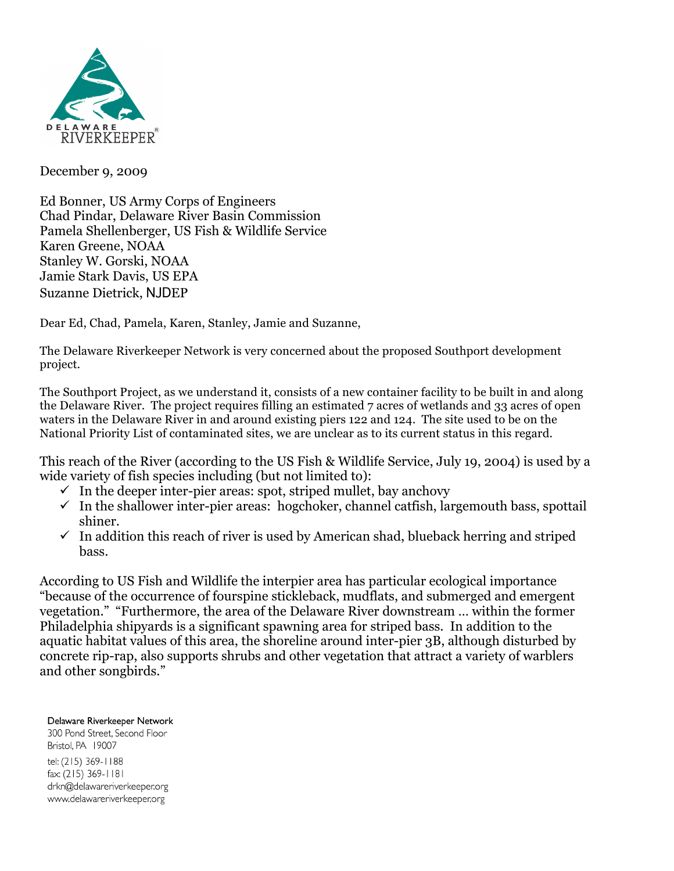

December 9, 2009

Ed Bonner, US Army Corps of Engineers Chad Pindar, Delaware River Basin Commission Pamela Shellenberger, US Fish & Wildlife Service Karen Greene, NOAA Stanley W. Gorski, NOAA Jamie Stark Davis, US EPA Suzanne Dietrick, NJDEP

Dear Ed, Chad, Pamela, Karen, Stanley, Jamie and Suzanne,

The Delaware Riverkeeper Network is very concerned about the proposed Southport development project.

The Southport Project, as we understand it, consists of a new container facility to be built in and along the Delaware River. The project requires filling an estimated 7 acres of wetlands and 33 acres of open waters in the Delaware River in and around existing piers 122 and 124. The site used to be on the National Priority List of contaminated sites, we are unclear as to its current status in this regard.

This reach of the River (according to the US Fish & Wildlife Service, July 19, 2004) is used by a wide variety of fish species including (but not limited to):

- $\checkmark$  In the deeper inter-pier areas: spot, striped mullet, bay anchovy
- $\checkmark$  In the shallower inter-pier areas: hogchoker, channel catfish, largemouth bass, spottail shiner.
- $\checkmark$  In addition this reach of river is used by American shad, blueback herring and striped bass.

According to US Fish and Wildlife the interpier area has particular ecological importance "because of the occurrence of fourspine stickleback, mudflats, and submerged and emergent vegetation." "Furthermore, the area of the Delaware River downstream … within the former Philadelphia shipyards is a significant spawning area for striped bass. In addition to the aquatic habitat values of this area, the shoreline around inter-pier 3B, although disturbed by concrete rip-rap, also supports shrubs and other vegetation that attract a variety of warblers and other songbirds."

Delaware Riverkeeper Network 300 Pond Street, Second Floor Bristol, PA 19007 tel: (215) 369-1188 fax: (215) 369-1181

drkn@delawareriverkeeper.org www.delawareriverkeeper.org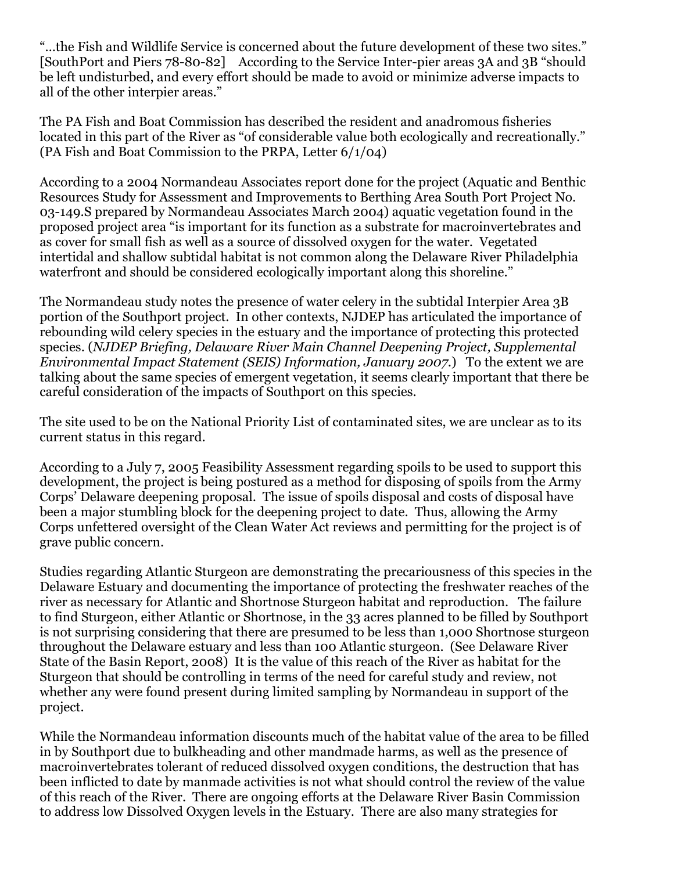"…the Fish and Wildlife Service is concerned about the future development of these two sites." [SouthPort and Piers 78-80-82] According to the Service Inter-pier areas 3A and 3B "should be left undisturbed, and every effort should be made to avoid or minimize adverse impacts to all of the other interpier areas."

The PA Fish and Boat Commission has described the resident and anadromous fisheries located in this part of the River as "of considerable value both ecologically and recreationally." (PA Fish and Boat Commission to the PRPA, Letter 6/1/04)

According to a 2004 Normandeau Associates report done for the project (Aquatic and Benthic Resources Study for Assessment and Improvements to Berthing Area South Port Project No. 03-149.S prepared by Normandeau Associates March 2004) aquatic vegetation found in the proposed project area "is important for its function as a substrate for macroinvertebrates and as cover for small fish as well as a source of dissolved oxygen for the water. Vegetated intertidal and shallow subtidal habitat is not common along the Delaware River Philadelphia waterfront and should be considered ecologically important along this shoreline."

The Normandeau study notes the presence of water celery in the subtidal Interpier Area 3B portion of the Southport project. In other contexts, NJDEP has articulated the importance of rebounding wild celery species in the estuary and the importance of protecting this protected species. (*NJDEP Briefing, Delaware River Main Channel Deepening Project, Supplemental Environmental Impact Statement (SEIS) Information, January 2007*.) To the extent we are talking about the same species of emergent vegetation, it seems clearly important that there be careful consideration of the impacts of Southport on this species.

The site used to be on the National Priority List of contaminated sites, we are unclear as to its current status in this regard.

According to a July 7, 2005 Feasibility Assessment regarding spoils to be used to support this development, the project is being postured as a method for disposing of spoils from the Army Corps' Delaware deepening proposal. The issue of spoils disposal and costs of disposal have been a major stumbling block for the deepening project to date. Thus, allowing the Army Corps unfettered oversight of the Clean Water Act reviews and permitting for the project is of grave public concern.

Studies regarding Atlantic Sturgeon are demonstrating the precariousness of this species in the Delaware Estuary and documenting the importance of protecting the freshwater reaches of the river as necessary for Atlantic and Shortnose Sturgeon habitat and reproduction. The failure to find Sturgeon, either Atlantic or Shortnose, in the 33 acres planned to be filled by Southport is not surprising considering that there are presumed to be less than 1,000 Shortnose sturgeon throughout the Delaware estuary and less than 100 Atlantic sturgeon. (See Delaware River State of the Basin Report, 2008) It is the value of this reach of the River as habitat for the Sturgeon that should be controlling in terms of the need for careful study and review, not whether any were found present during limited sampling by Normandeau in support of the project.

While the Normandeau information discounts much of the habitat value of the area to be filled in by Southport due to bulkheading and other mandmade harms, as well as the presence of macroinvertebrates tolerant of reduced dissolved oxygen conditions, the destruction that has been inflicted to date by manmade activities is not what should control the review of the value of this reach of the River. There are ongoing efforts at the Delaware River Basin Commission to address low Dissolved Oxygen levels in the Estuary. There are also many strategies for